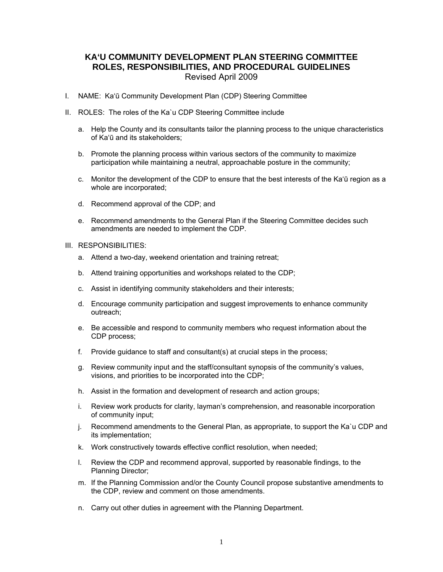# **KA'U COMMUNITY DEVELOPMENT PLAN STEERING COMMITTEE ROLES, RESPONSIBILITIES, AND PROCEDURAL GUIDELINES**  Revised April 2009

- I. NAME: Ka'ū Community Development Plan (CDP) Steering Committee
- II. ROLES: The roles of the Ka`u CDP Steering Committee include
	- a. Help the County and its consultants tailor the planning process to the unique characteristics of Ka'ū and its stakeholders;
	- b. Promote the planning process within various sectors of the community to maximize participation while maintaining a neutral, approachable posture in the community;
	- c. Monitor the development of the CDP to ensure that the best interests of the Ka'ū region as a whole are incorporated;
	- d. Recommend approval of the CDP; and
	- e. Recommend amendments to the General Plan if the Steering Committee decides such amendments are needed to implement the CDP.
- III. RESPONSIBILITIES:
	- a. Attend a two-day, weekend orientation and training retreat;
	- b. Attend training opportunities and workshops related to the CDP;
	- c. Assist in identifying community stakeholders and their interests;
	- d. Encourage community participation and suggest improvements to enhance community outreach;
	- e. Be accessible and respond to community members who request information about the CDP process;
	- f. Provide guidance to staff and consultant(s) at crucial steps in the process;
	- g. Review community input and the staff/consultant synopsis of the community's values, visions, and priorities to be incorporated into the CDP;
	- h. Assist in the formation and development of research and action groups;
	- i. Review work products for clarity, layman's comprehension, and reasonable incorporation of community input;
	- j. Recommend amendments to the General Plan, as appropriate, to support the Ka`u CDP and its implementation;
	- k. Work constructively towards effective conflict resolution, when needed;
	- l. Review the CDP and recommend approval, supported by reasonable findings, to the Planning Director;
	- m. If the Planning Commission and/or the County Council propose substantive amendments to the CDP, review and comment on those amendments.
	- n. Carry out other duties in agreement with the Planning Department.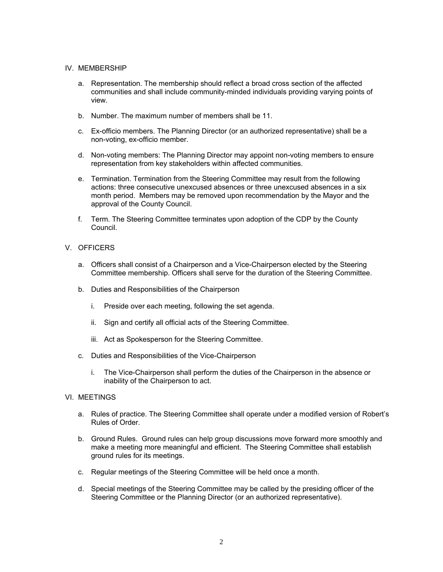### IV. MEMBERSHIP

- a. Representation. The membership should reflect a broad cross section of the affected communities and shall include community-minded individuals providing varying points of view.
- b. Number. The maximum number of members shall be 11.
- c. Ex-officio members. The Planning Director (or an authorized representative) shall be a non-voting, ex-officio member.
- d. Non-voting members: The Planning Director may appoint non-voting members to ensure representation from key stakeholders within affected communities.
- e. Termination. Termination from the Steering Committee may result from the following actions: three consecutive unexcused absences or three unexcused absences in a six month period. Members may be removed upon recommendation by the Mayor and the approval of the County Council.
- f. Term. The Steering Committee terminates upon adoption of the CDP by the County Council.

# V. OFFICERS

- a. Officers shall consist of a Chairperson and a Vice-Chairperson elected by the Steering Committee membership. Officers shall serve for the duration of the Steering Committee.
- b. Duties and Responsibilities of the Chairperson
	- i. Preside over each meeting, following the set agenda.
	- ii. Sign and certify all official acts of the Steering Committee.
	- iii. Act as Spokesperson for the Steering Committee.
- c. Duties and Responsibilities of the Vice-Chairperson
	- i. The Vice-Chairperson shall perform the duties of the Chairperson in the absence or inability of the Chairperson to act.

# VI. MEETINGS

- a. Rules of practice. The Steering Committee shall operate under a modified version of Robert's Rules of Order.
- b. Ground Rules. Ground rules can help group discussions move forward more smoothly and make a meeting more meaningful and efficient. The Steering Committee shall establish ground rules for its meetings.
- c. Regular meetings of the Steering Committee will be held once a month.
- d. Special meetings of the Steering Committee may be called by the presiding officer of the Steering Committee or the Planning Director (or an authorized representative).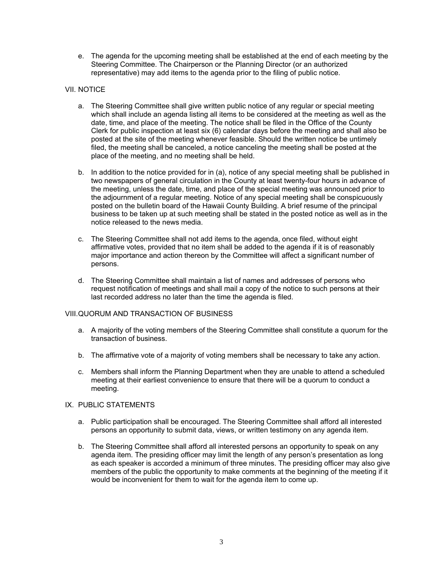e. The agenda for the upcoming meeting shall be established at the end of each meeting by the Steering Committee. The Chairperson or the Planning Director (or an authorized representative) may add items to the agenda prior to the filing of public notice.

# VII. NOTICE

- a. The Steering Committee shall give written public notice of any regular or special meeting which shall include an agenda listing all items to be considered at the meeting as well as the date, time, and place of the meeting. The notice shall be filed in the Office of the County Clerk for public inspection at least six (6) calendar days before the meeting and shall also be posted at the site of the meeting whenever feasible. Should the written notice be untimely filed, the meeting shall be canceled, a notice canceling the meeting shall be posted at the place of the meeting, and no meeting shall be held.
- b. In addition to the notice provided for in (a), notice of any special meeting shall be published in two newspapers of general circulation in the County at least twenty-four hours in advance of the meeting, unless the date, time, and place of the special meeting was announced prior to the adjournment of a regular meeting. Notice of any special meeting shall be conspicuously posted on the bulletin board of the Hawaii County Building. A brief resume of the principal business to be taken up at such meeting shall be stated in the posted notice as well as in the notice released to the news media.
- c. The Steering Committee shall not add items to the agenda, once filed, without eight affirmative votes, provided that no item shall be added to the agenda if it is of reasonably major importance and action thereon by the Committee will affect a significant number of persons.
- d. The Steering Committee shall maintain a list of names and addresses of persons who request notification of meetings and shall mail a copy of the notice to such persons at their last recorded address no later than the time the agenda is filed.

### VIII. QUORUM AND TRANSACTION OF BUSINESS

- a. A majority of the voting members of the Steering Committee shall constitute a quorum for the transaction of business.
- b. The affirmative vote of a majority of voting members shall be necessary to take any action.
- c. Members shall inform the Planning Department when they are unable to attend a scheduled meeting at their earliest convenience to ensure that there will be a quorum to conduct a meeting.

## IX. PUBLIC STATEMENTS

- a. Public participation shall be encouraged. The Steering Committee shall afford all interested persons an opportunity to submit data, views, or written testimony on any agenda item.
- b. The Steering Committee shall afford all interested persons an opportunity to speak on any agenda item. The presiding officer may limit the length of any person's presentation as long as each speaker is accorded a minimum of three minutes. The presiding officer may also give members of the public the opportunity to make comments at the beginning of the meeting if it would be inconvenient for them to wait for the agenda item to come up.